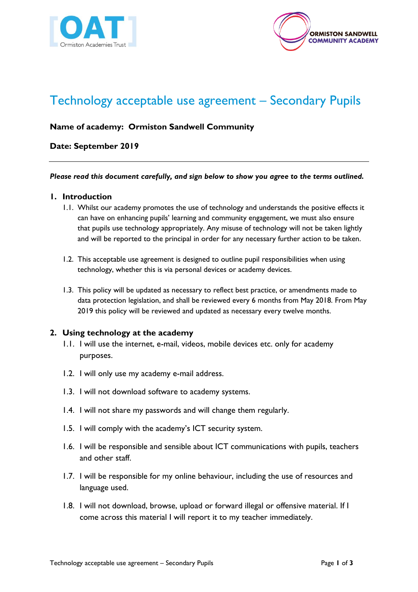



# Technology acceptable use agreement – Secondary Pupils

# **Name of academy: Ormiston Sandwell Community**

# **Date: September 2019**

#### *Please read this document carefully, and sign below to show you agree to the terms outlined.*

## **1. Introduction**

- 1.1. Whilst our academy promotes the use of technology and understands the positive effects it can have on enhancing pupils' learning and community engagement, we must also ensure that pupils use technology appropriately. Any misuse of technology will not be taken lightly and will be reported to the principal in order for any necessary further action to be taken.
- 1.2. This acceptable use agreement is designed to outline pupil responsibilities when using technology, whether this is via personal devices or academy devices.
- 1.3. This policy will be updated as necessary to reflect best practice, or amendments made to data protection legislation, and shall be reviewed every 6 months from May 2018. From May 2019 this policy will be reviewed and updated as necessary every twelve months.

## **2. Using technology at the academy**

- 1.1. I will use the internet, e-mail, videos, mobile devices etc. only for academy purposes.
- 1.2. I will only use my academy e-mail address.
- 1.3. I will not download software to academy systems.
- 1.4. I will not share my passwords and will change them regularly.
- 1.5. I will comply with the academy's ICT security system.
- 1.6. I will be responsible and sensible about ICT communications with pupils, teachers and other staff.
- 1.7. I will be responsible for my online behaviour, including the use of resources and language used.
- 1.8. I will not download, browse, upload or forward illegal or offensive material. If I come across this material I will report it to my teacher immediately.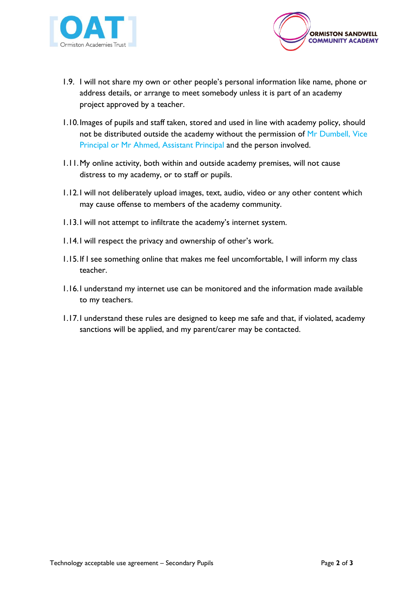



- 1.9. I will not share my own or other people's personal information like name, phone or address details, or arrange to meet somebody unless it is part of an academy project approved by a teacher.
- 1.10.Images of pupils and staff taken, stored and used in line with academy policy, should not be distributed outside the academy without the permission of Mr Dumbell, Vice Principal or Mr Ahmed, Assistant Principal and the person involved.
- 1.11.My online activity, both within and outside academy premises, will not cause distress to my academy, or to staff or pupils.
- 1.12.I will not deliberately upload images, text, audio, video or any other content which may cause offense to members of the academy community.
- 1.13.I will not attempt to infiltrate the academy's internet system.
- 1.14.I will respect the privacy and ownership of other's work.
- 1.15.If I see something online that makes me feel uncomfortable, I will inform my class teacher.
- 1.16.I understand my internet use can be monitored and the information made available to my teachers.
- 1.17.I understand these rules are designed to keep me safe and that, if violated, academy sanctions will be applied, and my parent/carer may be contacted.